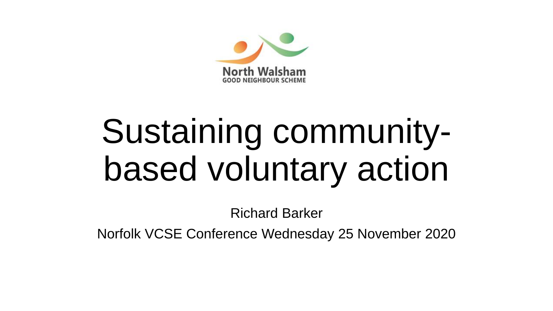

# Sustaining communitybased voluntary action

Richard Barker

Norfolk VCSE Conference Wednesday 25 November 2020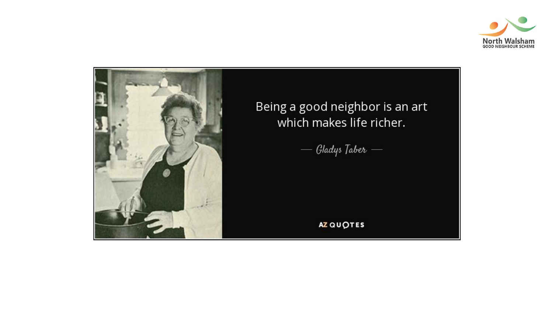

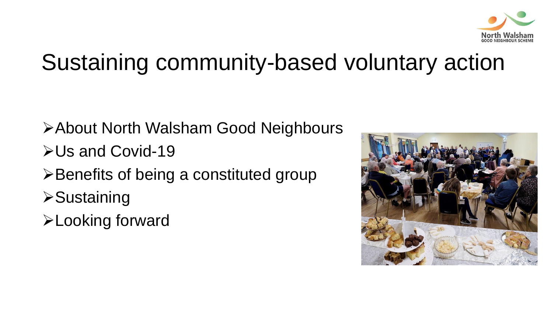

#### Sustaining community-based voluntary action

- ➢About North Walsham Good Neighbours
- ➢Us and Covid-19
- ➢Benefits of being a constituted group
- ➢Sustaining
- ➢Looking forward

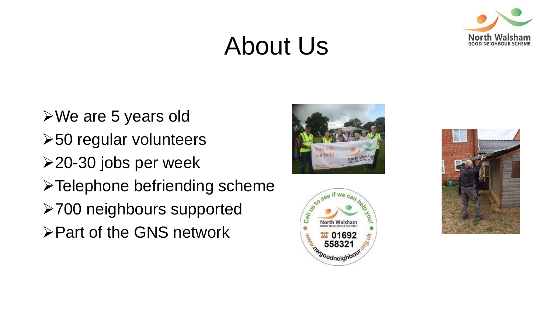## About Us



➢We are 5 years old ➢50 regular volunteers ➢20-30 jobs per week ➢Telephone befriending scheme ➢700 neighbours supported

➢Part of the GNS network





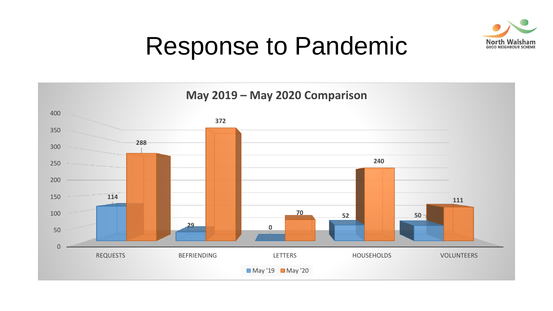

#### Response to Pandemic

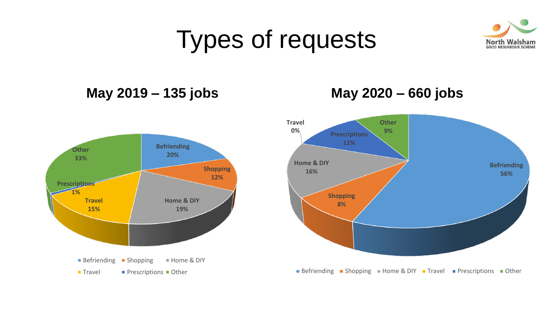## Types of requests



#### **May 2019 – 135 jobs**



#### **May 2020 – 660 jobs**

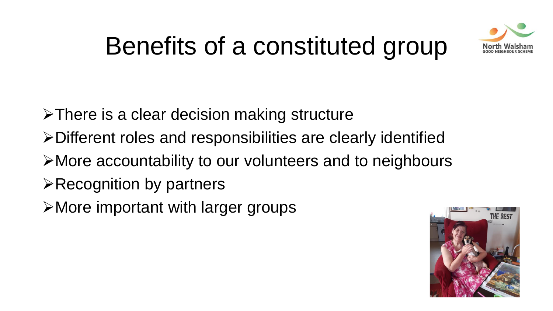

## Benefits of a constituted group

- ➢There is a clear decision making structure
- ➢Different roles and responsibilities are clearly identified
- ➢More accountability to our volunteers and to neighbours
- ➢Recognition by partners
- ➢More important with larger groups

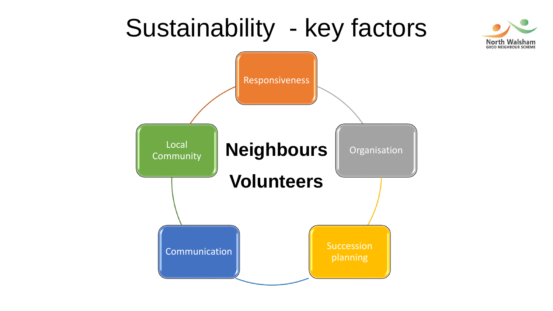